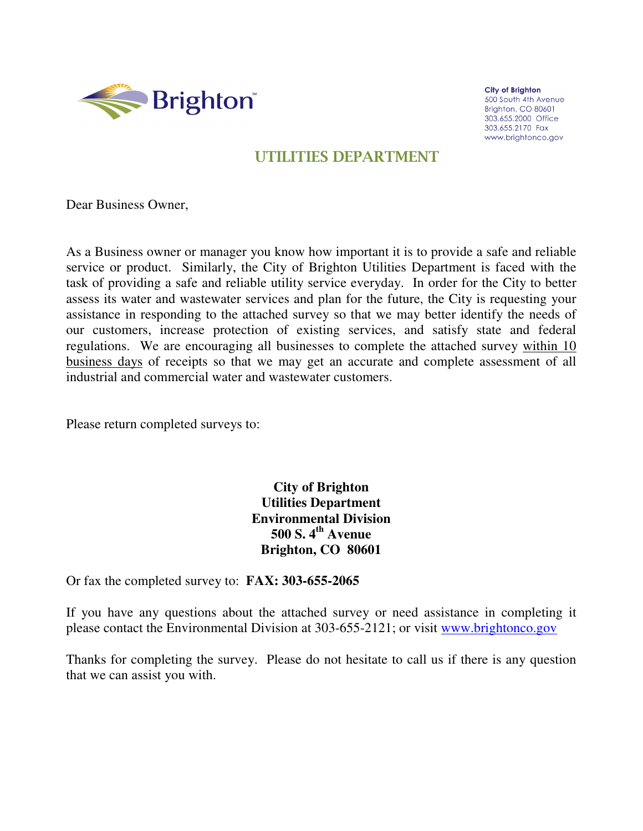

**City of Brighton** 500 South 4th Avenue Brighton, CO 80601 303.655.2000 Office 303.655.2170 Fax www.brightonco.gov

# UTILITIES DEPARTMENT

Dear Business Owner,

As a Business owner or manager you know how important it is to provide a safe and reliable service or product. Similarly, the City of Brighton Utilities Department is faced with the task of providing a safe and reliable utility service everyday. In order for the City to better assess its water and wastewater services and plan for the future, the City is requesting your assistance in responding to the attached survey so that we may better identify the needs of our customers, increase protection of existing services, and satisfy state and federal regulations. We are encouraging all businesses to complete the attached survey within 10 business days of receipts so that we may get an accurate and complete assessment of all industrial and commercial water and wastewater customers.

Please return completed surveys to:

**City of Brighton Utilities Department Environmental Division 500 S. 4th Avenue Brighton, CO 80601** 

Or fax the completed survey to: **FAX: 303-655-2065** 

If you have any questions about the attached survey or need assistance in completing it please contact the Environmental Division at 303-655-2121; or visit www.brightonco.gov

Thanks for completing the survey. Please do not hesitate to call us if there is any question that we can assist you with.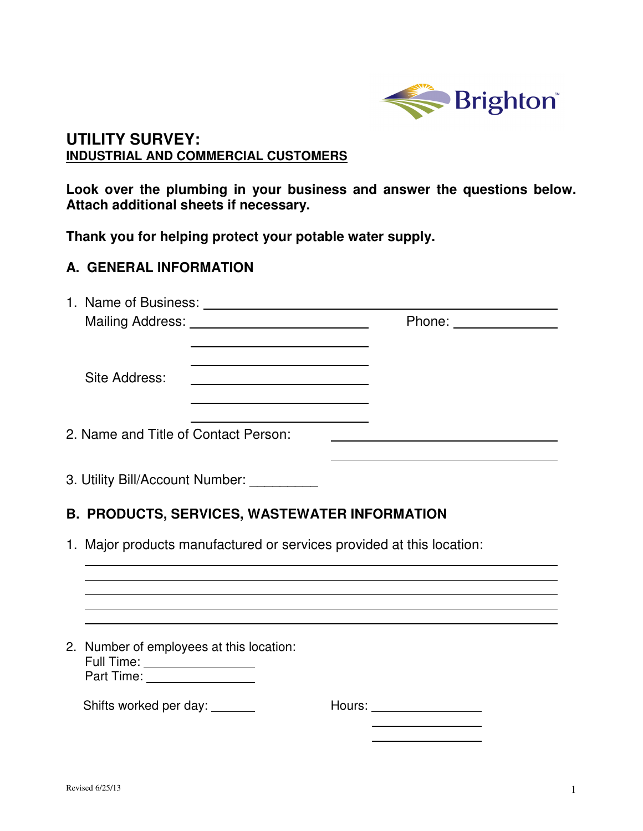

## **UTILITY SURVEY: INDUSTRIAL AND COMMERCIAL CUSTOMERS**

**Look over the plumbing in your business and answer the questions below. Attach additional sheets if necessary.** 

**Thank you for helping protect your potable water supply.** 

# **A. GENERAL INFORMATION**

|                                                                                                              |                                                      | Phone: ______________        |  |  |  |  |  |  |
|--------------------------------------------------------------------------------------------------------------|------------------------------------------------------|------------------------------|--|--|--|--|--|--|
| Site Address:                                                                                                |                                                      |                              |  |  |  |  |  |  |
| 2. Name and Title of Contact Person:                                                                         |                                                      |                              |  |  |  |  |  |  |
|                                                                                                              | 3. Utility Bill/Account Number: __________           |                              |  |  |  |  |  |  |
|                                                                                                              | <b>B. PRODUCTS, SERVICES, WASTEWATER INFORMATION</b> |                              |  |  |  |  |  |  |
| 1. Major products manufactured or services provided at this location:                                        |                                                      |                              |  |  |  |  |  |  |
|                                                                                                              |                                                      |                              |  |  |  |  |  |  |
|                                                                                                              |                                                      |                              |  |  |  |  |  |  |
| 2. Number of employees at this location:<br>Full Time: ___________________<br>Part Time: ___________________ |                                                      |                              |  |  |  |  |  |  |
| Shifts worked per day: _______                                                                               |                                                      | Hours: _____________________ |  |  |  |  |  |  |
|                                                                                                              |                                                      |                              |  |  |  |  |  |  |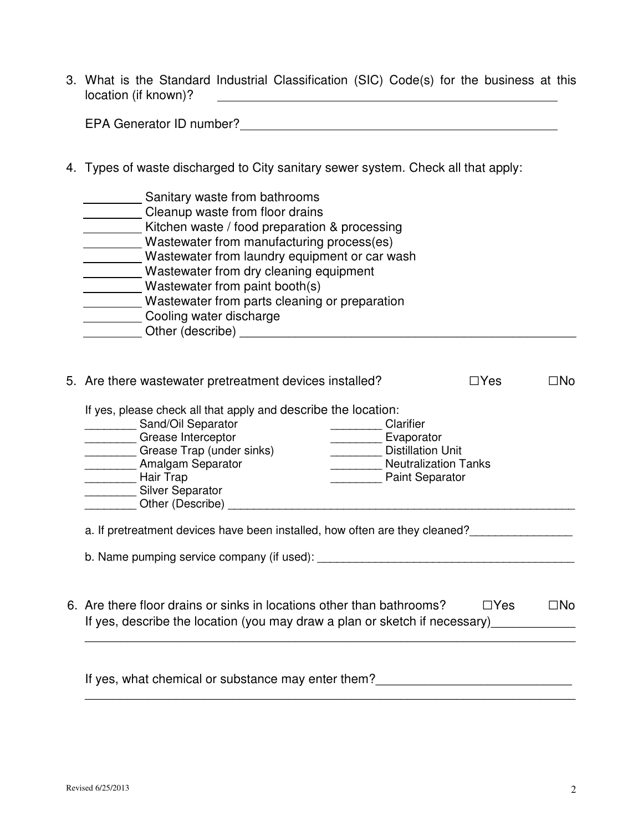3. What is the Standard Industrial Classification (SIC) Code(s) for the business at this location (if known)? <u>and the company of the company of the company of the company of the company of the company of the company of the company of the company of the company of the company of the company of the company of the company of the com</u>

EPA Generator ID number?

4. Types of waste discharged to City sanitary sewer system. Check all that apply:

| Sanitary waste from bathrooms                 |
|-----------------------------------------------|
| Cleanup waste from floor drains               |
| Kitchen waste / food preparation & processing |
| Wastewater from manufacturing process(es)     |
| Wastewater from laundry equipment or car wash |
| Wastewater from dry cleaning equipment        |
| Wastewater from paint booth(s)                |
| Wastewater from parts cleaning or preparation |
| Cooling water discharge                       |
| Other (describe)                              |

|                                                                                                                                                                                                                          | 5. Are there wastewater pretreatment devices installed?<br>⊟Yes⊹                                                          |                                                                                                 |  |  |  |  |  |  |  |
|--------------------------------------------------------------------------------------------------------------------------------------------------------------------------------------------------------------------------|---------------------------------------------------------------------------------------------------------------------------|-------------------------------------------------------------------------------------------------|--|--|--|--|--|--|--|
| If yes, please check all that apply and describe the location:<br>Sand/Oil Separator<br>Grease Interceptor<br>Grease Trap (under sinks)<br>Amalgam Separator<br>Hair Trap<br><b>Silver Separator</b><br>Other (Describe) | Clarifier                                                                                                                 | Evaporator<br><b>Distillation Unit</b><br><b>Neutralization Tanks</b><br><b>Paint Separator</b> |  |  |  |  |  |  |  |
|                                                                                                                                                                                                                          | a. If pretreatment devices have been installed, how often are they cleaned?<br>b. Name pumping service company (if used): |                                                                                                 |  |  |  |  |  |  |  |
| 6. Are there floor drains or sinks in locations other than bathrooms?<br>$\Box Y$ es<br>If yes, describe the location (you may draw a plan or sketch if necessary)                                                       |                                                                                                                           |                                                                                                 |  |  |  |  |  |  |  |

If yes, what chemical or substance may enter them?\_\_\_\_\_\_\_\_\_\_\_\_\_\_\_\_\_\_\_\_\_\_\_\_\_\_\_\_

\_\_\_\_\_\_\_\_\_\_\_\_\_\_\_\_\_\_\_\_\_\_\_\_\_\_\_\_\_\_\_\_\_\_\_\_\_\_\_\_\_\_\_\_\_\_\_\_\_\_\_\_\_\_\_\_\_\_\_\_\_\_\_\_\_\_\_\_\_\_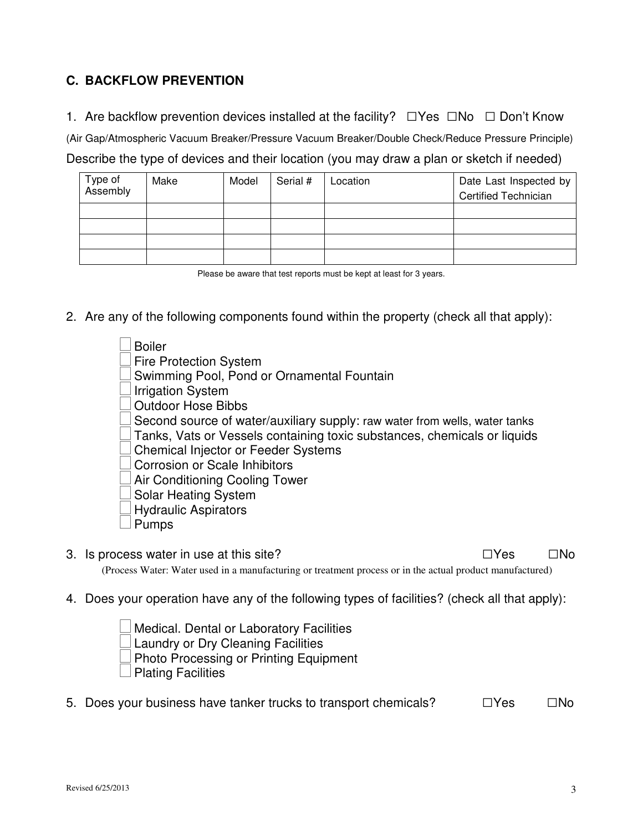### **C. BACKFLOW PREVENTION**

1. Are backflow prevention devices installed at the facility?  $\square$  Yes  $\square$  No  $\square$  Don't Know

(Air Gap/Atmospheric Vacuum Breaker/Pressure Vacuum Breaker/Double Check/Reduce Pressure Principle) Describe the type of devices and their location (you may draw a plan or sketch if needed)

| Type of<br>Assembly | Make | Model | Serial # | Location | Date Last Inspected by<br><b>Certified Technician</b> |
|---------------------|------|-------|----------|----------|-------------------------------------------------------|
|                     |      |       |          |          |                                                       |
|                     |      |       |          |          |                                                       |
|                     |      |       |          |          |                                                       |
|                     |      |       |          |          |                                                       |

Please be aware that test reports must be kept at least for 3 years.

2. Are any of the following components found within the property (check all that apply):

 Boiler Fire Protection System Swimming Pool, Pond or Ornamental Fountain Irrigation System Outdoor Hose Bibbs Second source of water/auxiliary supply: raw water from wells, water tanks Tanks, Vats or Vessels containing toxic substances, chemicals or liquids Chemical Injector or Feeder Systems Corrosion or Scale Inhibitors Air Conditioning Cooling Tower Solar Heating System Hydraulic Aspirators Pumps

- 3. Is process water in use at this site? □Yes □No (Process Water: Water used in a manufacturing or treatment process or in the actual product manufactured)
- 4. Does your operation have any of the following types of facilities? (check all that apply):

 Medical. Dental or Laboratory Facilities Laundry or Dry Cleaning Facilities Photo Processing or Printing Equipment Plating Facilities

5. Does your business have tanker trucks to transport chemicals?  $\square$  Yes  $\square$  No